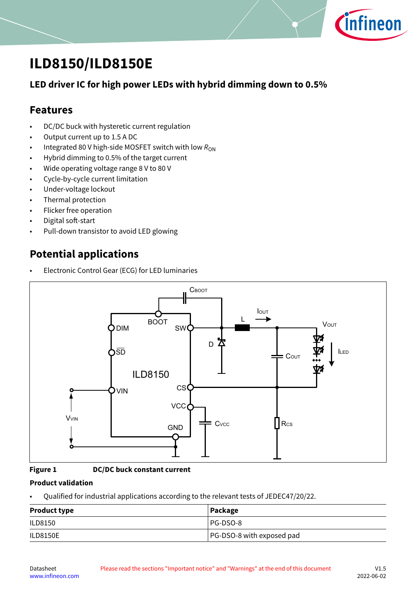

# <span id="page-0-0"></span>**ILD8150/ILD8150E**

## **LED driver IC for high power LEDs with hybrid dimming down to 0.5%**

## **Features**

- DC/DC buck with hysteretic current regulation
- Output current up to 1.5 A DC
- Integrated 80 V high-side MOSFET switch with low  $R_{ON}$
- Hybrid dimming to 0.5% of the target current
- Wide operating voltage range 8 V to 80 V
- Cycle-by-cycle current limitation
- Under-voltage lockout
- Thermal protection
- Flicker free operation
- Digital soft-start
- Pull-down transistor to avoid LED glowing

## **Potential applications**

• Electronic Control Gear (ECG) for LED luminaries



#### **Figure 1 DC/DC buck constant current**

#### **Product validation**

• Qualified for industrial applications according to the relevant tests of JEDEC47/20/22.

| <b>Product type</b> | Package                   |
|---------------------|---------------------------|
| ILD8150             | PG-DSO-8                  |
| <b>ILD8150E</b>     | PG-DSO-8 with exposed pad |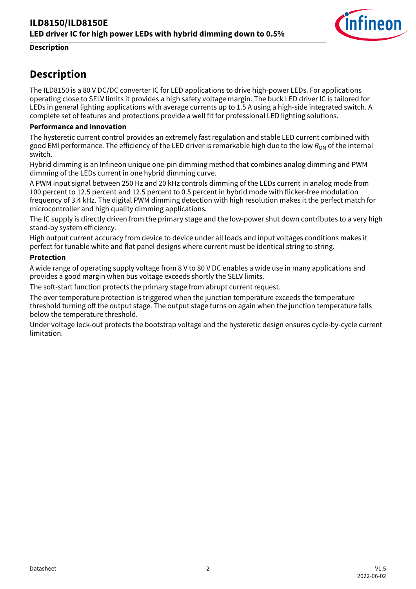

### <span id="page-1-0"></span>**Description**

## **Description**

The ILD8150 is a 80 V DC/DC converter IC for LED applications to drive high-power LEDs. For applications operating close to SELV limits it provides a high safety voltage margin. The buck LED driver IC is tailored for LEDs in general lighting applications with average currents up to 1.5 A using a high-side integrated switch. A complete set of features and protections provide a well fit for professional LED lighting solutions.

#### **Performance and innovation**

The hysteretic current control provides an extremely fast regulation and stable LED current combined with good EMI performance. The efficiency of the LED driver is remarkable high due to the low R<sub>ON</sub> of the internal switch.

Hybrid dimming is an Infineon unique one-pin dimming method that combines analog dimming and PWM dimming of the LEDs current in one hybrid dimming curve.

A PWM input signal between 250 Hz and 20 kHz controls dimming of the LEDs current in analog mode from 100 percent to 12.5 percent and 12.5 percent to 0.5 percent in hybrid mode with flicker-free modulation frequency of 3.4 kHz. The digital PWM dimming detection with high resolution makes it the perfect match for microcontroller and high quality dimming applications.

The IC supply is directly driven from the primary stage and the low-power shut down contributes to a very high stand-by system efficiency.

High output current accuracy from device to device under all loads and input voltages conditions makes it perfect for tunable white and flat panel designs where current must be identical string to string.

#### **Protection**

A wide range of operating supply voltage from 8 V to 80 V DC enables a wide use in many applications and provides a good margin when bus voltage exceeds shortly the SELV limits.

The soft-start function protects the primary stage from abrupt current request.

The over temperature protection is triggered when the junction temperature exceeds the temperature threshold turning off the output stage. The output stage turns on again when the junction temperature falls below the temperature threshold.

Under voltage lock-out protects the bootstrap voltage and the hysteretic design ensures cycle-by-cycle current limitation.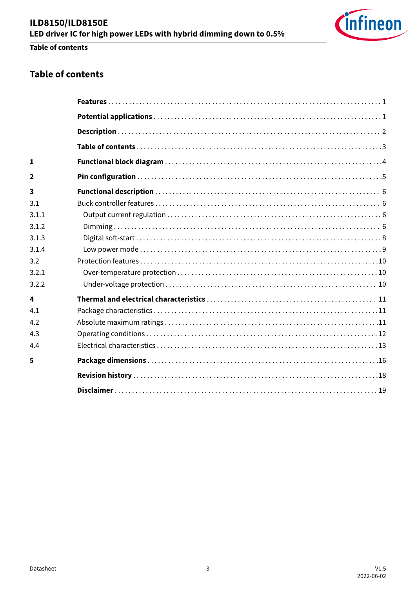## **Table of contents**

## **Table of contents**

| $\mathbf{1}$            |  |
|-------------------------|--|
| 2                       |  |
| $\overline{\mathbf{3}}$ |  |
| 3.1                     |  |
| 3.1.1                   |  |
| 3.1.2                   |  |
| 3.1.3                   |  |
| 3.1.4                   |  |
| 3.2                     |  |
| 3.2.1                   |  |
| 3.2.2                   |  |
| 4                       |  |
| 4.1                     |  |
| 4.2                     |  |
| 4.3                     |  |
| 4.4                     |  |
| 5                       |  |
|                         |  |
|                         |  |
|                         |  |

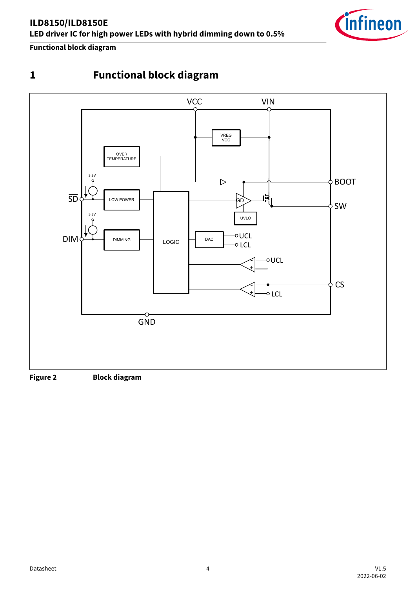<span id="page-3-0"></span>**Functional block diagram**



## **Figure 2 Block diagram**

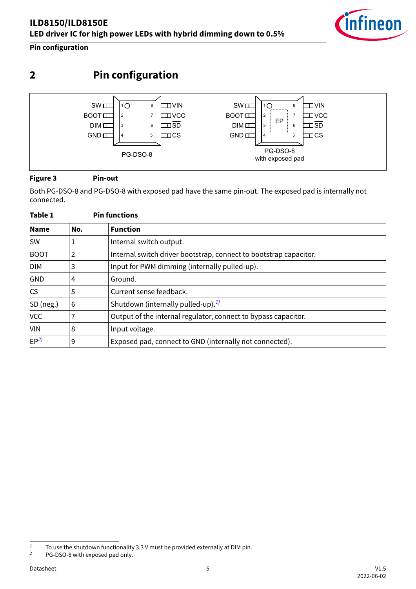<span id="page-4-0"></span>**Pin configuration**

**2 Pin configuration**  $SWE$  $\overline{10}$ VIN SW<sub>I</sub> VIN 8  $1<sub>O</sub>$ 8 BOOT<sub>I</sub> BOOT<sub>I</sub>  $\vert$ <sub>2</sub> 7  $\Box$ VCC 2 7  $\Box$ VCC EP DIM<sub>I</sub> 3 6  $\Box$ SD DIM<sub>II</sub> 3 6  $\Box$ SD . . . . . . 1 GND<sub>II</sub>  $5 \mid \Box$ CS GND<sub>II</sub>  $5 \mid \Box$ CS 4  $\overline{A}$ PG-DSO-8 PG-DSO-8

with exposed pad

## **Figure 3 Pin-out**

Both PG-DSO-8 and PG-DSO-8 with exposed pad have the same pin-out. The exposed pad is internally not connected.

| Table 1         |                | <b>Pin functions</b>                                              |
|-----------------|----------------|-------------------------------------------------------------------|
| <b>Name</b>     | No.            | <b>Function</b>                                                   |
| <b>SW</b>       |                | Internal switch output.                                           |
| <b>BOOT</b>     | $\overline{2}$ | Internal switch driver bootstrap, connect to bootstrap capacitor. |
| <b>DIM</b>      | 3              | Input for PWM dimming (internally pulled-up).                     |
| <b>GND</b>      | 4              | Ground.                                                           |
| <b>CS</b>       | 5              | Current sense feedback.                                           |
| SD (neg.)       | 6              | Shutdown (internally pulled-up). <sup>1)</sup>                    |
| <b>VCC</b>      |                | Output of the internal regulator, connect to bypass capacitor.    |
| <b>VIN</b>      | 8              | Input voltage.                                                    |
| EP <sup>2</sup> | 9              | Exposed pad, connect to GND (internally not connected).           |



Datasheet 5 V1.5 2022-06-02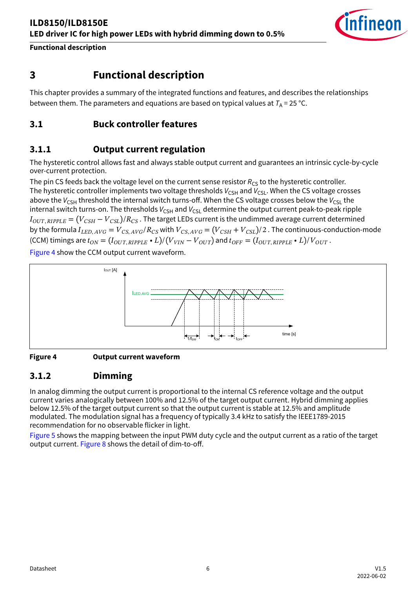

## <span id="page-5-0"></span>**3 Functional description**

This chapter provides a summary of the integrated functions and features, and describes the relationships between them. The parameters and equations are based on typical values at  $T_A$  = 25 °C.

## **3.1 Buck controller features**

## **3.1.1 Output current regulation**

The hysteretic control allows fast and always stable output current and guarantees an intrinsic cycle-by-cycle over-current protection.

The pin CS feeds back the voltage level on the current sense resistor *R<sub>CS</sub>* to the hysteretic controller. The hysteretic controller implements two voltage thresholds  $V_{CSH}$  and  $V_{CSL}$ . When the CS voltage crosses above the  $V_{CSH}$  threshold the internal switch turns-off. When the CS voltage crosses below the  $V_{CSH}$  the internal switch turns-on. The thresholds  $V_{\text{CSH}}$  and  $V_{\text{CSL}}$  determine the output current peak-to-peak ripple  $I_{OUT,RIPPLE} = (V_{CSH} - V_{CSL})/R_{CS}$ . The target LEDs current is the undimmed average current determined by the formula  $I_{LED, AVG} = V_{CS, AVG}/R_{CS}$  with  $V_{CS, AVG} = (V_{CSH} + V_{CSL})/2$ . The continuous-conduction-mode (CCM) timings are  $t_{ON} = (I_{OUT, RIPPLE} \cdot L)/(V_{VIN} - V_{OUT})$  and  $t_{OFF} = (I_{OUT, RIPPLE} \cdot L)/V_{OUT}$ .

Figure 4 show the CCM output current waveform.



#### **Figure 4 Output current waveform**

## **3.1.2 Dimming**

In analog dimming the output current is proportional to the internal CS reference voltage and the output current varies analogically between 100% and 12.5% of the target output current. Hybrid dimming applies below 12.5% of the target output current so that the output current is stable at 12.5% and amplitude modulated. The modulation signal has a frequency of typically 3.4 kHz to satisfy the IEEE1789-2015 recommendation for no observable flicker in light.

[Figure 5](#page-6-0) shows the mapping between the input PWM duty cycle and the output current as a ratio of the target output current. [Figure 8](#page-7-0) shows the detail of dim-to-off.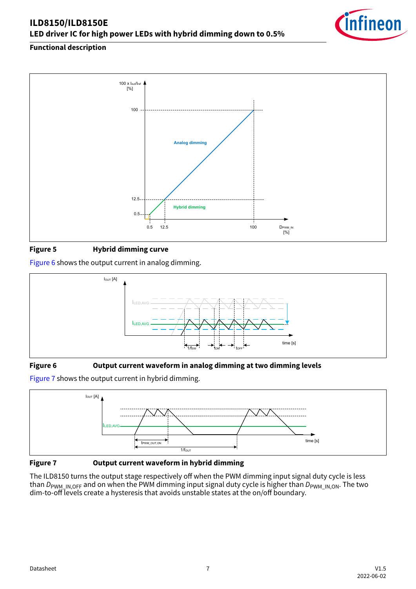<span id="page-6-0"></span>

## **Figure 5 Hybrid dimming curve**

Figure 6 shows the output current in analog dimming.



#### **Figure 6 Output current waveform in analog dimming at two dimming levels**

Figure 7 shows the output current in hybrid dimming.



**Figure 7 Output current waveform in hybrid dimming**

The ILD8150 turns the output stage respectively off when the PWM dimming input signal duty cycle is less than *D*<sub>PWM\_IN,OFF</sub> and on when the PWM dimming input signal duty cycle is higher than *D*<sub>PWM\_IN,ON</sub>. The two dim-to-off levels create a hysteresis that avoids unstable states at the on/off boundary.

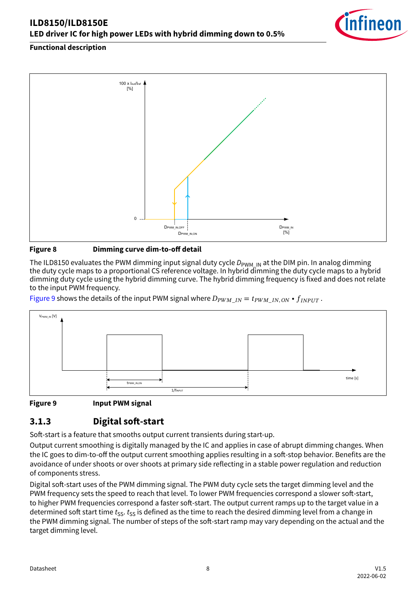<span id="page-7-0"></span>

#### **Figure 8 Dimming curve dim-to-off detail**

The ILD8150 evaluates the PWM dimming input signal duty cycle  $D_{\text{PWM IN}}$  at the DIM pin. In analog dimming the duty cycle maps to a proportional CS reference voltage. In hybrid dimming the duty cycle maps to a hybrid dimming duty cycle using the hybrid dimming curve. The hybrid dimming frequency is fixed and does not relate to the input PWM frequency.

Figure 9 shows the details of the input PWM signal where  $D_{PWMIN} = t_{PWMIN, ON} \cdot f_{INPUT}$ .



#### **Figure 9 Input PWM signal**

## **3.1.3 Digital soft-start**

Soft-start is a feature that smooths output current transients during start-up.

Output current smoothing is digitally managed by the IC and applies in case of abrupt dimming changes. When the IC goes to dim-to-off the output current smoothing applies resulting in a soft-stop behavior. Benefits are the avoidance of under shoots or over shoots at primary side reflecting in a stable power regulation and reduction of components stress.

Digital soft-start uses of the PWM dimming signal. The PWM duty cycle sets the target dimming level and the PWM frequency sets the speed to reach that level. To lower PWM frequencies correspond a slower soft-start, to higher PWM frequencies correspond a faster soft-start. The output current ramps up to the target value in a determined soft start time *t<sub>ss</sub>*. *t<sub>ss</sub>* is defined as the time to reach the desired dimming level from a change in the PWM dimming signal. The number of steps of the soft-start ramp may vary depending on the actual and the target dimming level.

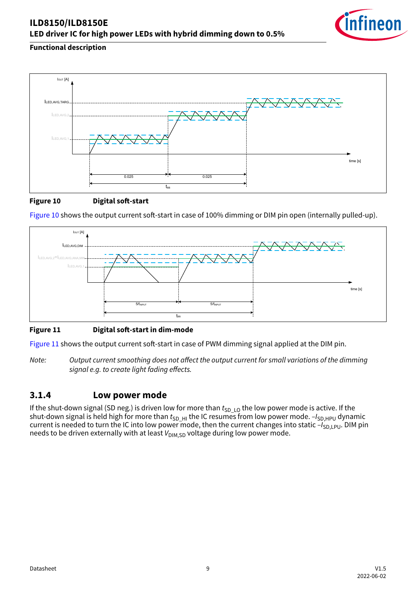

<span id="page-8-0"></span>

#### **Figure 10 Digital soft-start**





#### **Figure 11 Digital soft-start in dim-mode**

Figure 11 shows the output current soft-start in case of PWM dimming signal applied at the DIM pin.

*Note: Output current smoothing does not affect the output current for small variations of the dimming signal e.g. to create light fading effects.*

## **3.1.4 Low power mode**

If the shut-down signal (SD neg.) is driven low for more than  $t_{SD\_LO}$  the low power mode is active. If the shut-down signal is held high for more than  $t_{SD-HI}$  the IC resumes from low power mode.  $-I_{SD,HPU}$  dynamic current is needed to turn the IC into low power mode, then the current changes into static  $-I_{SD|P|D}$ . DIM pin needs to be driven externally with at least  $V_{\text{DIM SD}}$  voltage during low power mode.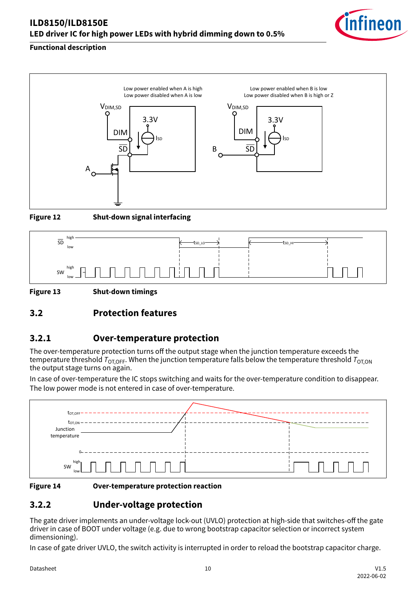## <span id="page-9-0"></span>**ILD8150/ILD8150E LED driver IC for high power LEDs with hybrid dimming down to 0.5%**



### **Functional description**





**Figure 12 Shut-down signal interfacing**



**Figure 13 Shut-down timings**

## **3.2 Protection features**

## **3.2.1 Over-temperature protection**

The over-temperature protection turns off the output stage when the junction temperature exceeds the temperature threshold  $T_{\text{OT,OFF}}$ . When the junction temperature falls below the temperature threshold  $T_{\text{OT,ON}}$ the output stage turns on again.

In case of over-temperature the IC stops switching and waits for the over-temperature condition to disappear. The low power mode is not entered in case of over-temperature.





**Figure 14 Over-temperature protection reaction**

## **3.2.2 Under-voltage protection**

The gate driver implements an under-voltage lock-out (UVLO) protection at high-side that switches-off the gate driver in case of BOOT under voltage (e.g. due to wrong bootstrap capacitor selection or incorrect system dimensioning).

In case of gate driver UVLO, the switch activity is interrupted in order to reload the bootstrap capacitor charge.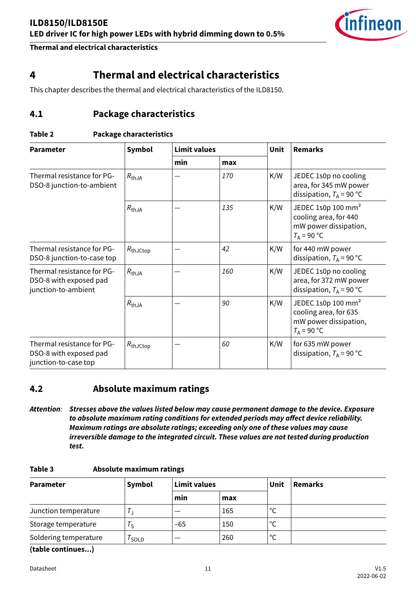

## <span id="page-10-0"></span>**4 Thermal and electrical characteristics**

This chapter describes the thermal and electrical characteristics of the ILD8150.

## **4.1 Package characteristics**

#### **Table 2 Package characteristics**

| <b>Parameter</b>                                                             | Symbol            | <b>Limit values</b> |     | Unit | <b>Remarks</b>                                                                                    |
|------------------------------------------------------------------------------|-------------------|---------------------|-----|------|---------------------------------------------------------------------------------------------------|
|                                                                              |                   | min                 | max |      |                                                                                                   |
| Thermal resistance for PG-<br>DSO-8 junction-to-ambient                      | $R_{thJA}$        |                     | 170 | K/W  | JEDEC 1s0p no cooling<br>area, for 345 mW power<br>dissipation, $T_A = 90 °C$                     |
|                                                                              | $R_{thJA}$        |                     | 135 | K/W  | JEDEC 1s0p 100 mm <sup>2</sup><br>cooling area, for 440<br>mW power dissipation,<br>$T_A$ = 90 °C |
| Thermal resistance for PG-<br>DSO-8 junction-to-case top                     | $R_{thJCtop}$     |                     | 42  | K/W  | for 440 mW power<br>dissipation, $T_A = 90 °C$                                                    |
| Thermal resistance for PG-<br>DSO-8 with exposed pad<br>junction-to-ambient  | $R_{thJA}$        |                     | 160 | K/W  | JEDEC 1s0p no cooling<br>area, for 372 mW power<br>dissipation, $T_A$ = 90 °C                     |
|                                                                              | $R_{\text{thJA}}$ |                     | 90  | K/W  | JEDEC 1s0p 100 mm <sup>2</sup><br>cooling area, for 635<br>mW power dissipation,<br>$T_A$ = 90 °C |
| Thermal resistance for PG-<br>DSO-8 with exposed pad<br>junction-to-case top | $R_{thJCtop}$     |                     | 60  | K/W  | for 635 mW power<br>dissipation, $T_A$ = 90 °C                                                    |

## **4.2 Absolute maximum ratings**

*Attention: Stresses above the values listed below may cause permanent damage to the device. Exposure to absolute maximum rating conditions for extended periods may affect device reliability. Maximum ratings are absolute ratings; exceeding only one of these values may cause irreversible damage to the integrated circuit. These values are not tested during production test.*

**Table 3 Absolute maximum ratings**

| <b>Parameter</b>      | Symbol | <b>Limit values</b> |     | Unit               | <b>Remarks</b> |
|-----------------------|--------|---------------------|-----|--------------------|----------------|
|                       |        | min                 | max |                    |                |
| Junction temperature  |        | __                  | 165 | $\mathcal{C}$<br>╰ |                |
| Storage temperature   | Te     | $-65$               | 150 | $^{\circ}$         |                |
| Soldering temperature | SOLD   |                     | 260 | $\circ$            |                |

**(table continues...)**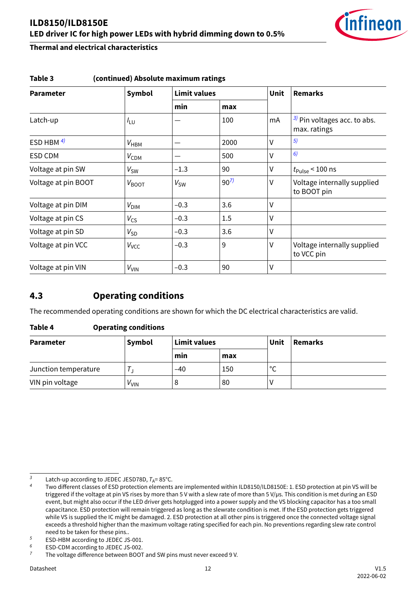

| <b>Parameter</b>    | Symbol                  | <b>Limit values</b> |          |        | <b>Remarks</b>                                  |
|---------------------|-------------------------|---------------------|----------|--------|-------------------------------------------------|
|                     |                         | min                 | max      |        |                                                 |
| Latch-up            | $I_{LU}$                |                     | 100      | mA     | $3$ ) Pin voltages acc. to abs.<br>max. ratings |
| ESD HBM $4$ )       | $V_{HBM}$               |                     | 2000     | $\vee$ | 5)                                              |
| ESD CDM             | $V_{CDM}$               |                     | 500      | $\vee$ | 6)                                              |
| Voltage at pin SW   | $V_{SW}$                | $-1.3$              | 90       | $\vee$ | $t_{\rm{Pulse}}$ < 100 ns                       |
| Voltage at pin BOOT | $V_{\mathsf{BOOT}}$     | $V_{SW}$            | $90^{7}$ | $\vee$ | Voltage internally supplied<br>to BOOT pin      |
| Voltage at pin DIM  | $V_{\text{DIM}}$        | $-0.3$              | 3.6      | $\vee$ |                                                 |
| Voltage at pin CS   | $V_{\text{CS}}$         | $-0.3$              | 1.5      | $\vee$ |                                                 |
| Voltage at pin SD   | $V_{\mathsf{SD}}$       | $-0.3$              | 3.6      | $\vee$ |                                                 |
| Voltage at pin VCC  | <b>V</b> <sub>VCC</sub> | $-0.3$              | 9        | $\vee$ | Voltage internally supplied<br>to VCC pin       |
| Voltage at pin VIN  | $V_{VIN}$               | $-0.3$              | 90       | $\vee$ |                                                 |

#### <span id="page-11-0"></span>**Table 3 (continued) Absolute maximum ratings**

## **4.3 Operating conditions**

The recommended operating conditions are shown for which the DC electrical characteristics are valid.

#### **Table 4 Operating conditions**

| <b>Parameter</b>     | Symbol    | Limit values |     | Unit         | Remarks |
|----------------------|-----------|--------------|-----|--------------|---------|
|                      |           | min          | max |              |         |
| Junction temperature |           | $-40$        | 150 | $\circ$<br>∼ |         |
| VIN pin voltage      | $V_{VIN}$ |              | 80  |              |         |

<sup>3</sup> Latch-up according to JEDEC JESD78D,  $T_A = 85^\circ$ C.

*<sup>4</sup>* Two different classes of ESD protection elements are implemented within ILD8150/ILD8150E: 1. ESD protection at pin VS will be triggered if the voltage at pin VS rises by more than 5 V with a slew rate of more than 5 V/µs. This condition is met during an ESD event, but might also occur if the LED driver gets hotplugged into a power supply and the VS blocking capacitor has a too small capacitance. ESD protection will remain triggered as long as the slewrate condition is met. If the ESD protection gets triggered while VS is supplied the IC might be damaged. 2. ESD protection at all other pins is triggered once the connected voltage signal exceeds a threshold higher than the maximum voltage rating specified for each pin. No preventions regarding slew rate control need to be taken for these pins..

*<sup>5</sup>* ESD-HBM according to JEDEC JS-001.<br><sup>6</sup> ESD-CDM according to JEDEC JS-002 <sup>6</sup> ESD-CDM according to JEDEC JS-002.<br><sup>7</sup> The voltage difference between BOOT

*<sup>7</sup>* The voltage difference between BOOT and SW pins must never exceed 9 V.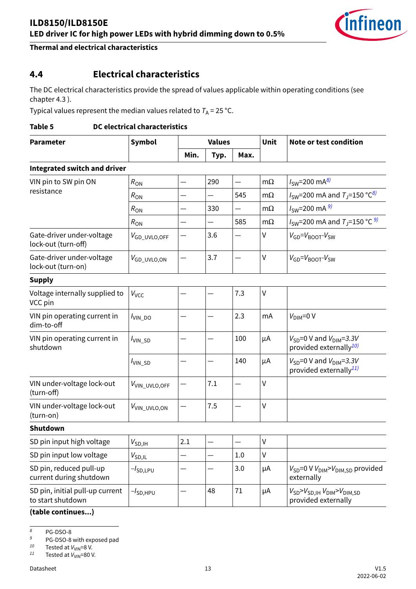

## <span id="page-12-0"></span>**4.4 Electrical characteristics**

The DC electrical characteristics provide the spread of values applicable within operating conditions (see chapter 4.3 ).

Typical values represent the median values related to  $T_A = 25$  °C.

#### **Table 5 DC electrical characteristics**

| <b>Parameter</b>                                     | Symbol                     |      | <b>Values</b>            |      |           | Note or test condition                                                  |
|------------------------------------------------------|----------------------------|------|--------------------------|------|-----------|-------------------------------------------------------------------------|
|                                                      |                            | Min. | Typ.                     | Max. |           |                                                                         |
| <b>Integrated switch and driver</b>                  |                            |      |                          |      |           |                                                                         |
| VIN pin to SW pin ON                                 | $R_{ON}$                   |      | 290                      |      | $m\Omega$ | $I_{SW} = 200 \text{ mA}^{8}$                                           |
| resistance                                           | $R_{ON}$                   |      | $\overline{\phantom{0}}$ | 545  | $m\Omega$ | $I_{SW}$ =200 mA and $T_J$ =150 °C <sup>8)</sup>                        |
|                                                      | $R_{ON}$                   |      | 330                      |      | $m\Omega$ | $I_{SW} = 200$ mA $^{9}$                                                |
|                                                      | $R_{ON}$                   |      |                          | 585  | $m\Omega$ | $I_{SW}$ =200 mA and $T_J$ =150 °C $\frac{9J}{2}$                       |
| Gate-driver under-voltage<br>lock-out (turn-off)     | V <sub>GD_UVLO,OFF</sub>   |      | 3.6                      |      | V         | $V_{GD} = V_{BOOT} - V_{SW}$                                            |
| Gate-driver under-voltage<br>lock-out (turn-on)      | $V_{GD\_UVLO,ON}$          |      | 3.7                      |      | V         | $V_{GD} = V_{BOOT} - V_{SW}$                                            |
| <b>Supply</b>                                        |                            |      |                          |      |           |                                                                         |
| Voltage internally supplied to<br>VCC pin            | Vvcc                       |      |                          | 7.3  | V         |                                                                         |
| VIN pin operating current in<br>dim-to-off           | $I_{\text{VIN\_DO}}$       |      |                          | 2.3  | mA        | $V_{\text{DIM}}=0$ V                                                    |
| VIN pin operating current in<br>shutdown             | $I_{\text{VIN\_SD}}$       |      |                          | 100  | μA        | $V_{SD}$ =0 V and $V_{DIM}$ =3.3V<br>provided externally <sup>10)</sup> |
|                                                      | $I_{\text{VIN\_SD}}$       |      |                          | 140  | μA        | $V_{SD}$ =0 V and $V_{DIM}$ =3.3V<br>provided externally <sup>11)</sup> |
| VIN under-voltage lock-out<br>(turn-off)             | V <sub>VIN_UVLO, OFF</sub> |      | 7.1                      |      | V         |                                                                         |
| VIN under-voltage lock-out<br>(turn-on)              | V <sub>VIN_UVLO, ON</sub>  |      | 7.5                      |      | V         |                                                                         |
| <b>Shutdown</b>                                      |                            |      |                          |      |           |                                                                         |
| SD pin input high voltage                            | $V_{SD,IH}$                | 2.1  |                          |      | V         |                                                                         |
| SD pin input low voltage                             | $V_{SD,IL}$                |      |                          | 1.0  | V         |                                                                         |
| SD pin, reduced pull-up<br>current during shutdown   | -/ <sub>SD,LPU</sub>       |      |                          | 3.0  | μA        | $V_{SD}$ =0 V $V_{DIM}$ > $V_{DIM,SD}$ provided<br>externally           |
| SD pin, initial pull-up current<br>to start shutdown | $-l$ SD,HPU                |      | 48                       | 71   | μA        | $V_{SD} > V_{SD,IH}$ $V_{DIM} > V_{DIM,SD}$<br>provided externally      |

**(table continues...)**

*<sup>8</sup>* PG-DSO-8

<sup>9</sup> PG-DSO-8 with exposed pad<br><sup>10</sup> Tested at  $V_{\text{max}} = 8$  V

 $^{10}$  Tested at  $V_{\text{VIN}}=8$  V.<br> $^{11}$  Tested at  $V_{\text{VIN}}=80$  V

Tested at  $V_{VIN}$ =80 V.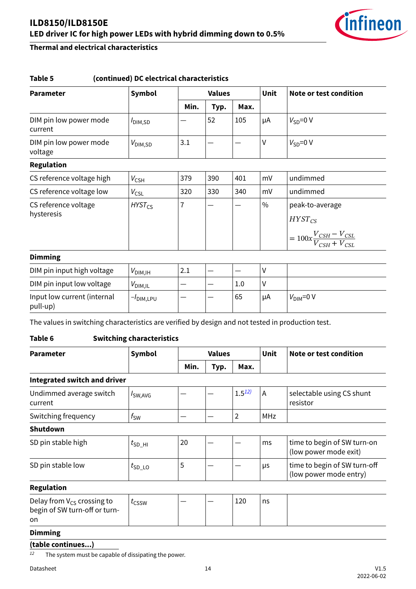

#### **Table 5 (continued) DC electrical characteristics**

| <b>Parameter</b>                        | Symbol              |      | <b>Values</b> |      |               | Note or test condition                                                                 |
|-----------------------------------------|---------------------|------|---------------|------|---------------|----------------------------------------------------------------------------------------|
|                                         |                     | Min. | Typ.          | Max. |               |                                                                                        |
| DIM pin low power mode<br>current       | I <sub>DIM,SD</sub> |      | 52            | 105  | μA            | $V_{SD} = 0 V$                                                                         |
| DIM pin low power mode<br>voltage       | $V_{\text{DIM,SD}}$ | 3.1  |               |      | V             | $V_{SD} = 0 V$                                                                         |
| <b>Regulation</b>                       |                     |      |               |      |               |                                                                                        |
| CS reference voltage high               | $V_{\text{CSH}}$    | 379  | 390           | 401  | mV            | undimmed                                                                               |
| CS reference voltage low                | $V_{\text{CSL}}$    | 320  | 330           | 340  | mV            | undimmed                                                                               |
| CS reference voltage<br>hysteresis      | $HYST_{CS}$         | 7    |               |      | $\frac{0}{0}$ | peak-to-average<br>$H YST_{CS}$<br>$= 100x\frac{V_{CSH} - V_{CSL}}{V_{CSH} + V_{CSL}}$ |
| <b>Dimming</b>                          |                     |      |               |      |               |                                                                                        |
| DIM pin input high voltage              | $V_{\text{DIM,IH}}$ | 2.1  |               |      | V             |                                                                                        |
| DIM pin input low voltage               | $V_{\text{DIM,IL}}$ | —    |               | 1.0  | V             |                                                                                        |
| Input low current (internal<br>pull-up) | $-I$ DIM,LPU        |      |               | 65   | μA            | $V_{\text{DIM}}=0$ V                                                                   |

The values in switching characteristics are verified by design and not tested in production test.

#### **Table 6 Switching characteristics**

| <b>Parameter</b>                    | <b>Values</b><br>Symbol |      |      | Unit       | Note or test condition |                                                        |
|-------------------------------------|-------------------------|------|------|------------|------------------------|--------------------------------------------------------|
|                                     |                         | Min. | Typ. | Max.       |                        |                                                        |
| <b>Integrated switch and driver</b> |                         |      |      |            |                        |                                                        |
| Undimmed average switch<br>current  | $I_{SW, AVG}$           |      |      | $1.5^{12}$ | Α                      | selectable using CS shunt<br>resistor                  |
| Switching frequency                 | $f_{SW}$                |      |      | 2          | <b>MHz</b>             |                                                        |
| <b>Shutdown</b>                     |                         |      |      |            |                        |                                                        |
| SD pin stable high                  | $t_{SD-HI}$             | 20   |      |            | ms                     | time to begin of SW turn-on<br>(low power mode exit)   |
| SD pin stable low                   | $t_{SD\_LO}$            | 5    |      |            | μs                     | time to begin of SW turn-off<br>(low power mode entry) |
| $D = -1$                            |                         |      |      |            |                        |                                                        |

#### **Regulation**

| Delay from $V_{CS}$ crossing to<br>begin of SW turn-off or turn- | <b>LCSSW</b> |  | 120 | ns |  |
|------------------------------------------------------------------|--------------|--|-----|----|--|
| on                                                               |              |  |     |    |  |

## **Dimming**

#### **(table continues...)**

*<sup>12</sup>* The system must be capable of dissipating the power.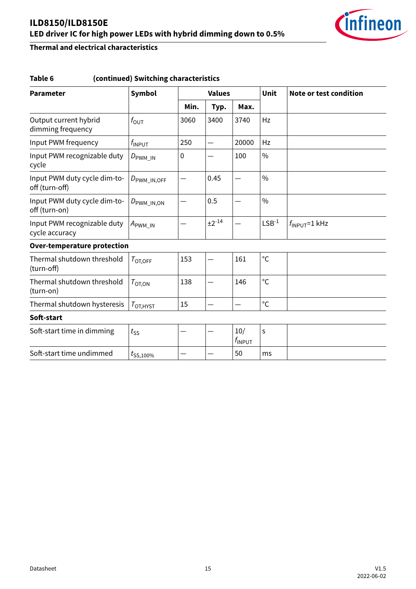

## **Table 6 (continued) Switching characteristics**

| <b>Parameter</b>                               | Symbol                   |      | <b>Values</b>            |                           |               | <b>Note or test condition</b> |
|------------------------------------------------|--------------------------|------|--------------------------|---------------------------|---------------|-------------------------------|
|                                                |                          | Min. | Typ.                     | Max.                      |               |                               |
| Output current hybrid<br>dimming frequency     | $f_{\text{OUT}}$         | 3060 | 3400                     | 3740                      | Hz            |                               |
| Input PWM frequency                            | $f_{\mathsf{INPUT}}$     | 250  | $\overline{\phantom{0}}$ | 20000                     | Hz            |                               |
| Input PWM recognizable duty<br>cycle           | $D_{\text{PWM\_IN}}$     | 0    |                          | 100                       | $\frac{0}{0}$ |                               |
| Input PWM duty cycle dim-to-<br>off (turn-off) | $D_{\text{PWM\_IN,OFF}}$ |      | 0.45                     |                           | $\frac{0}{0}$ |                               |
| Input PWM duty cycle dim-to-<br>off (turn-on)  | $D_{\rm PWM\_IN,ON}$     |      | 0.5                      |                           | $\frac{0}{0}$ |                               |
| Input PWM recognizable duty<br>cycle accuracy  | $A_{\text{PWM\_IN}}$     |      | $±2^{-14}$               |                           | $LSB-1$       | $f_{\text{INPUT}}=1$ kHz      |
| <b>Over-temperature protection</b>             |                          |      |                          |                           |               |                               |
| Thermal shutdown threshold<br>(turn-off)       | $T_{\text{OT,OFF}}$      | 153  |                          | 161                       | $^{\circ}$ C  |                               |
| Thermal shutdown threshold<br>(turn-on)        | $T_{\text{OT,ON}}$       | 138  |                          | 146                       | $^{\circ}$ C  |                               |
| Thermal shutdown hysteresis                    | $T_{\text{OT,HYST}}$     | 15   |                          |                           | $^{\circ}C$   |                               |
| Soft-start                                     |                          |      |                          |                           |               |                               |
| Soft-start time in dimming                     | $t_{SS}$                 |      |                          | 10/<br>$f_{\text{INPUT}}$ | S             |                               |
| Soft-start time undimmed                       | $t_{\text{SS,100\%}}$    |      |                          | 50                        | ms            |                               |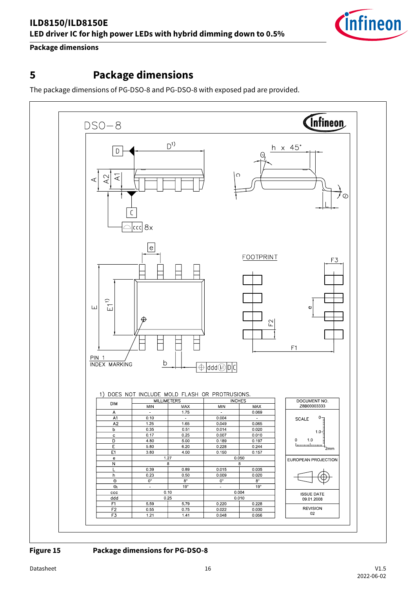

<span id="page-15-0"></span>**Package dimensions**

## **5 Package dimensions**

The package dimensions of PG-DSO-8 and PG-DSO-8 with exposed pad are provided.



**Figure 15 Package dimensions for PG-DSO-8**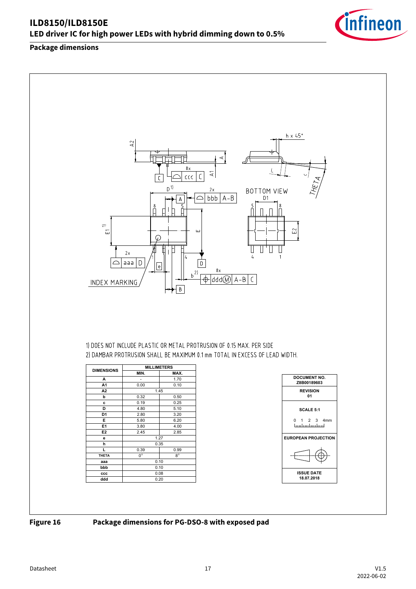#### **Package dimensions**



1) DOES NOT INCLUDE PLASTIC OR METAL PROTRUSION OF 0.15 MAX. PER SIDE 2) DAMBAR PROTRUSION SHALL BE MAXIMUM 0.1 mm TOTAL IN EXCESS OF LEAD WIDTH.

| <b>DIMENSIONS</b> | <b>MILLIMETERS</b> |           |
|-------------------|--------------------|-----------|
|                   | MIN.               | MAX.      |
| А                 |                    | 1.70      |
| A1                | 0.00               | 0.10      |
| A2                | 1.45               |           |
| þ                 | 0.32               | 0.50      |
| c                 | 0.19               | 0.25      |
| D                 | 4.80               | 5.10      |
| D <sub>1</sub>    | 2.80               | 3.20      |
| E                 | 5.80               | 6.20      |
| E1                | 3.80               | 4.00      |
| E <sub>2</sub>    | 2.45               | 2.85      |
| е                 | 1.27               |           |
| h                 | 0.35               |           |
| L                 | 0.39               | 0.99      |
| <b>THETA</b>      | $0^{\circ}$        | $8^\circ$ |
| aaa               | 0.10               |           |
| bbb               | 0.10               |           |
| ccc               | 0.08               |           |
| ddd               | 0.20               |           |



**Figure 16 Package dimensions for PG-DSO-8 with exposed pad**



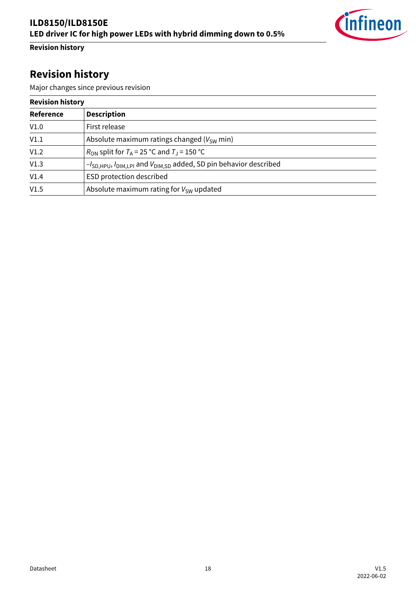

## <span id="page-17-0"></span>**Revision history**

## **Revision history**

Major changes since previous revision

| <b>Revision history</b> |                                                                                 |  |
|-------------------------|---------------------------------------------------------------------------------|--|
| Reference               | <b>Description</b>                                                              |  |
| V1.0                    | First release                                                                   |  |
| V1.1                    | Absolute maximum ratings changed ( $V_{SW}$ min)                                |  |
| V1.2                    | $R_{\text{ON}}$ split for $T_A$ = 25 °C and $T_J$ = 150 °C                      |  |
| V1.3                    | $-I_{SD,HPU}$ , $I_{DIM,LPI}$ and $V_{DIM,SD}$ added, SD pin behavior described |  |
| V1.4                    | ESD protection described                                                        |  |
| V1.5                    | Absolute maximum rating for $V_{SW}$ updated                                    |  |